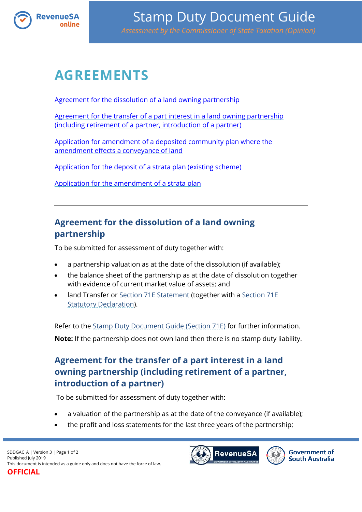

# **AGREEMENTS**

[Agreement for the dissolution of a land owning partnership](#page-0-0)

[Agreement for the transfer of a part interest in a land owning partnership](#page-0-1)  [\(including retirement of a partner, introduction of a partner\)](#page-0-1)

[Application for amendment of a deposited community plan where the](#page-1-0)  [amendment effects a conveyance of land](#page-1-0)

[Application for the deposit of a strata plan \(existing scheme\)](#page-1-1)

[Application for the amendment of a strata plan](#page-1-2)

### <span id="page-0-0"></span>**Agreement for the dissolution of a land owning partnership**

To be submitted for assessment of duty together with:

- a partnership valuation as at the date of the dissolution (if available);
- the balance sheet of the partnership as at the date of dissolution together with evidence of current market value of assets; and
- land Transfer or [Section 71E Statement](https://www.revenuesa.sa.gov.au/forms-and-publications/documents/forms/71estatement.pdf) (together with a [Section 71E](https://www.revenuesa.sa.gov.au/forms-and-publications/documents/forms/71estatdec.pdf)  [Statutory Declaration\)](https://www.revenuesa.sa.gov.au/forms-and-publications/documents/forms/71estatdec.pdf).

Refer to the [Stamp Duty Document Guide \(Section 71E\)](https://www.revenuesa.sa.gov.au/stampduty/stamp-duty-document-guide/section71e) for further information. **Note:** If the partnership does not own land then there is no stamp duty liability.

# <span id="page-0-1"></span>**Agreement for the transfer of a part interest in a land owning partnership (including retirement of a partner, introduction of a partner)**

To be submitted for assessment of duty together with:

- a valuation of the partnership as at the date of the conveyance (if available);
- the profit and loss statements for the last three years of the partnership;